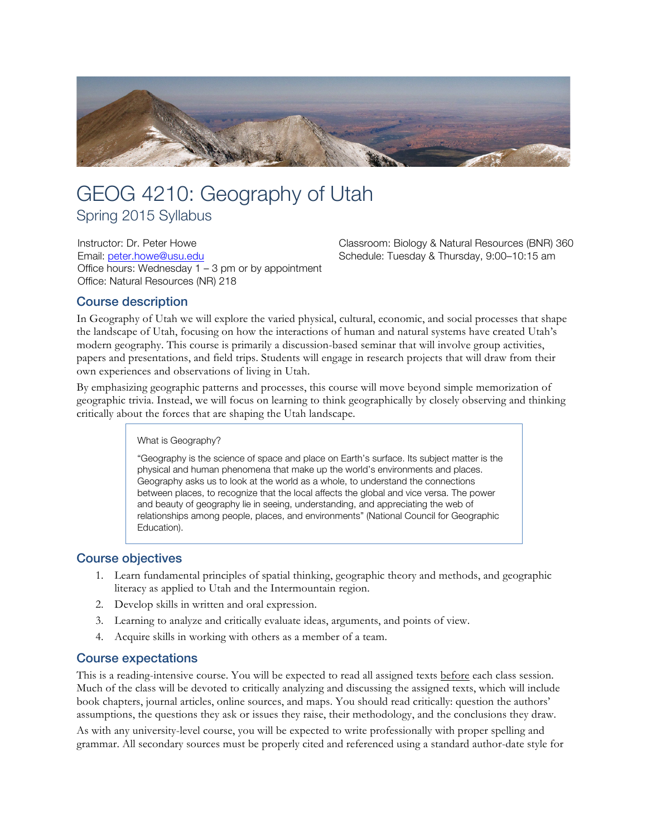

# GEOG 4210: Geography of Utah

Spring 2015 Syllabus

Instructor: Dr. Peter Howe Email: peter.howe@usu.edu Office hours: Wednesday 1 – 3 pm or by appointment Office: Natural Resources (NR) 218

Classroom: Biology & Natural Resources (BNR) 360 Schedule: Tuesday & Thursday, 9:00–10:15 am

# Course description

In Geography of Utah we will explore the varied physical, cultural, economic, and social processes that shape the landscape of Utah, focusing on how the interactions of human and natural systems have created Utah's modern geography. This course is primarily a discussion-based seminar that will involve group activities, papers and presentations, and field trips. Students will engage in research projects that will draw from their own experiences and observations of living in Utah.

By emphasizing geographic patterns and processes, this course will move beyond simple memorization of geographic trivia. Instead, we will focus on learning to think geographically by closely observing and thinking critically about the forces that are shaping the Utah landscape.

What is Geography?

"Geography is the science of space and place on Earth's surface. Its subject matter is the physical and human phenomena that make up the world's environments and places. Geography asks us to look at the world as a whole, to understand the connections between places, to recognize that the local affects the global and vice versa. The power and beauty of geography lie in seeing, understanding, and appreciating the web of relationships among people, places, and environments" (National Council for Geographic Education).

# Course objectives

- 1. Learn fundamental principles of spatial thinking, geographic theory and methods, and geographic literacy as applied to Utah and the Intermountain region.
- 2. Develop skills in written and oral expression.
- 3. Learning to analyze and critically evaluate ideas, arguments, and points of view.
- 4. Acquire skills in working with others as a member of a team.

# Course expectations

This is a reading-intensive course. You will be expected to read all assigned texts before each class session. Much of the class will be devoted to critically analyzing and discussing the assigned texts, which will include book chapters, journal articles, online sources, and maps. You should read critically: question the authors' assumptions, the questions they ask or issues they raise, their methodology, and the conclusions they draw. As with any university-level course, you will be expected to write professionally with proper spelling and grammar. All secondary sources must be properly cited and referenced using a standard author-date style for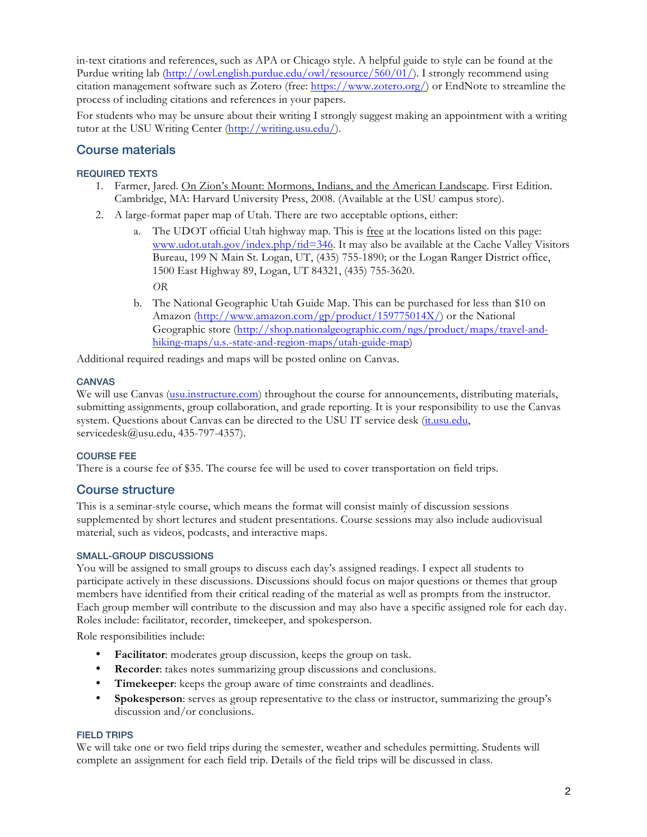in-text citations and references, such as APA or Chicago style. A helpful guide to style can be found at the Purdue writing lab (http://owl.english.purdue.edu/owl/resource/560/01/). I strongly recommend using citation management software such as Zotero (free: https://www.zotero.org/) or EndNote to streamline the process of including citations and references in your papers.

For students who may be unsure about their writing I strongly suggest making an appointment with a writing tutor at the USU Writing Center (http://writing.usu.edu/).

# Course materials

## REQUIRED TEXTS

- 1. Farmer, Jared. On Zion's Mount: Mormons, Indians, and the American Landscape. First Edition. Cambridge, MA: Harvard University Press, 2008. (Available at the USU campus store).
- 2. A large-format paper map of Utah. There are two acceptable options, either:
	- a. The UDOT official Utah highway map. This is free at the locations listed on this page: www.udot.utah.gov/index.php/tid=346. It may also be available at the Cache Valley Visitors Bureau, 199 N Main St. Logan, UT, (435) 755-1890; or the Logan Ranger District office, 1500 East Highway 89, Logan, UT 84321, (435) 755-3620. *OR*
	- b. The National Geographic Utah Guide Map. This can be purchased for less than \$10 on Amazon (http://www.amazon.com/gp/product/159775014X/) or the National Geographic store (http://shop.nationalgeographic.com/ngs/product/maps/travel-andhiking-maps/u.s.-state-and-region-maps/utah-guide-map)

Additional required readings and maps will be posted online on Canvas.

## CANVAS

We will use Canvas (usu.instructure.com) throughout the course for announcements, distributing materials, submitting assignments, group collaboration, and grade reporting. It is your responsibility to use the Canvas system. Questions about Canvas can be directed to the USU IT service desk (it.usu.edu, servicedesk@usu.edu, 435-797-4357).

## COURSE FEE

There is a course fee of \$35. The course fee will be used to cover transportation on field trips.

## Course structure

This is a seminar-style course, which means the format will consist mainly of discussion sessions supplemented by short lectures and student presentations. Course sessions may also include audiovisual material, such as videos, podcasts, and interactive maps.

## SMALL-GROUP DISCUSSIONS

You will be assigned to small groups to discuss each day's assigned readings. I expect all students to participate actively in these discussions. Discussions should focus on major questions or themes that group members have identified from their critical reading of the material as well as prompts from the instructor. Each group member will contribute to the discussion and may also have a specific assigned role for each day. Roles include: facilitator, recorder, timekeeper, and spokesperson.

Role responsibilities include:

- **Facilitator**: moderates group discussion, keeps the group on task.
- **Recorder:** takes notes summarizing group discussions and conclusions.
- **Timekeeper**: keeps the group aware of time constraints and deadlines.
- **Spokesperson**: serves as group representative to the class or instructor, summarizing the group's discussion and/or conclusions.

## FIELD TRIPS

We will take one or two field trips during the semester, weather and schedules permitting. Students will complete an assignment for each field trip. Details of the field trips will be discussed in class.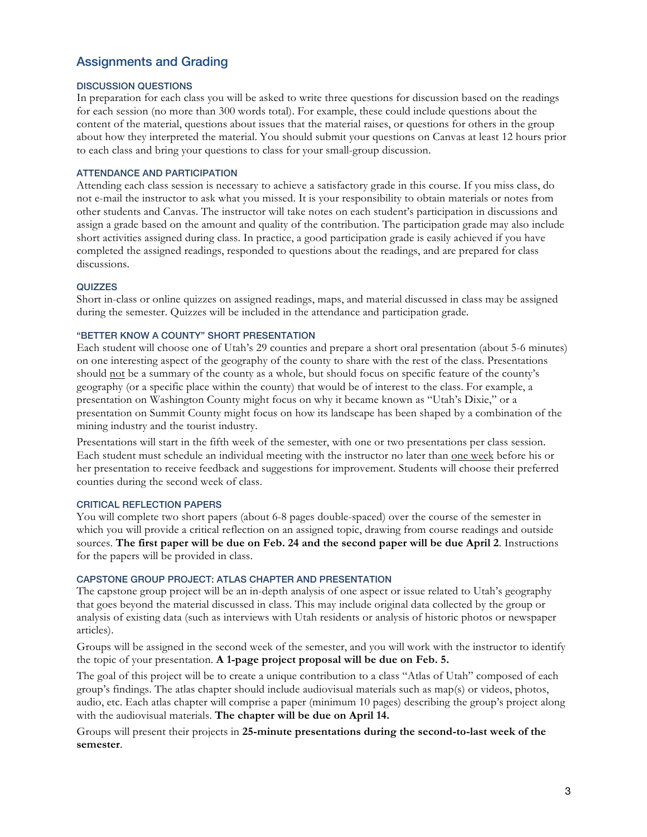# Assignments and Grading

#### DISCUSSION QUESTIONS

In preparation for each class you will be asked to write three questions for discussion based on the readings for each session (no more than 300 words total). For example, these could include questions about the content of the material, questions about issues that the material raises, or questions for others in the group about how they interpreted the material. You should submit your questions on Canvas at least 12 hours prior to each class and bring your questions to class for your small-group discussion.

#### ATTENDANCE AND PARTICIPATION

Attending each class session is necessary to achieve a satisfactory grade in this course. If you miss class, do not e-mail the instructor to ask what you missed. It is your responsibility to obtain materials or notes from other students and Canvas. The instructor will take notes on each student's participation in discussions and assign a grade based on the amount and quality of the contribution. The participation grade may also include short activities assigned during class. In practice, a good participation grade is easily achieved if you have completed the assigned readings, responded to questions about the readings, and are prepared for class discussions.

#### QUIZZES

Short in-class or online quizzes on assigned readings, maps, and material discussed in class may be assigned during the semester. Quizzes will be included in the attendance and participation grade.

#### "BETTER KNOW A COUNTY" SHORT PRESENTATION

Each student will choose one of Utah's 29 counties and prepare a short oral presentation (about 5-6 minutes) on one interesting aspect of the geography of the county to share with the rest of the class. Presentations should not be a summary of the county as a whole, but should focus on specific feature of the county's geography (or a specific place within the county) that would be of interest to the class. For example, a presentation on Washington County might focus on why it became known as "Utah's Dixie," or a presentation on Summit County might focus on how its landscape has been shaped by a combination of the mining industry and the tourist industry.

Presentations will start in the fifth week of the semester, with one or two presentations per class session. Each student must schedule an individual meeting with the instructor no later than one week before his or her presentation to receive feedback and suggestions for improvement. Students will choose their preferred counties during the second week of class.

#### CRITICAL REFLECTION PAPERS

You will complete two short papers (about 6-8 pages double-spaced) over the course of the semester in which you will provide a critical reflection on an assigned topic, drawing from course readings and outside sources. **The first paper will be due on Feb. 24 and the second paper will be due April 2**. Instructions for the papers will be provided in class.

#### CAPSTONE GROUP PROJECT: ATLAS CHAPTER AND PRESENTATION

The capstone group project will be an in-depth analysis of one aspect or issue related to Utah's geography that goes beyond the material discussed in class. This may include original data collected by the group or analysis of existing data (such as interviews with Utah residents or analysis of historic photos or newspaper articles).

Groups will be assigned in the second week of the semester, and you will work with the instructor to identify the topic of your presentation. **A 1-page project proposal will be due on Feb. 5.**

The goal of this project will be to create a unique contribution to a class "Atlas of Utah" composed of each group's findings. The atlas chapter should include audiovisual materials such as map(s) or videos, photos, audio, etc. Each atlas chapter will comprise a paper (minimum 10 pages) describing the group's project along with the audiovisual materials. **The chapter will be due on April 14.**

Groups will present their projects in **25-minute presentations during the second-to-last week of the semester**.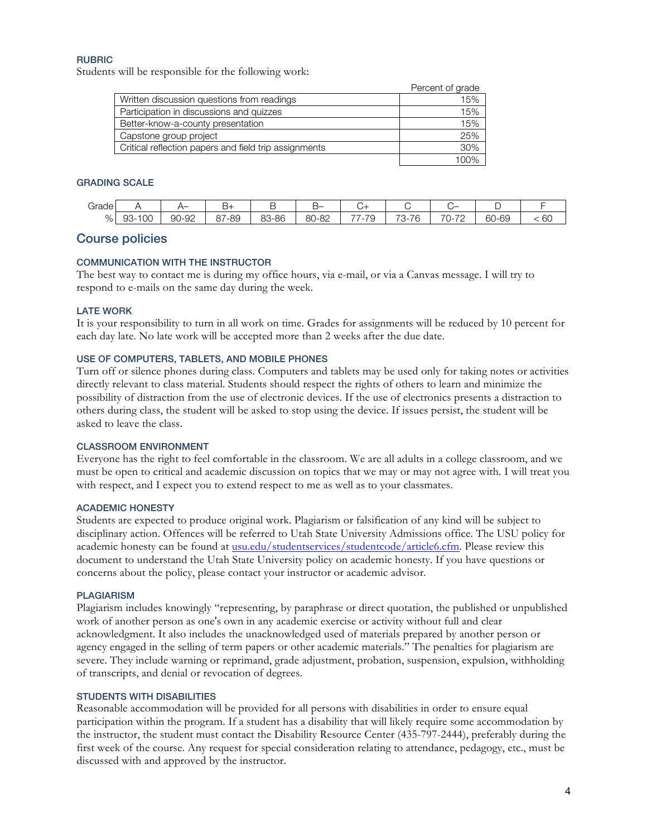#### RUBRIC

Students will be responsible for the following work:

|                                                       | Percent of grade |
|-------------------------------------------------------|------------------|
| Written discussion questions from readings            | 15%              |
| Participation in discussions and quizzes              | 15%              |
| Better-know-a-county presentation                     | 15%              |
| Capstone group project                                | 25%              |
| Critical reflection papers and field trip assignments | 30%              |
|                                                       | 100%             |

#### GRADING SCALE

| -<br>$2$ rnd<br>uauu |                       |                  | −ు                     | ــ    | ¬–    |                                      |                                                                                           |                                                                        |                           |                |
|----------------------|-----------------------|------------------|------------------------|-------|-------|--------------------------------------|-------------------------------------------------------------------------------------------|------------------------------------------------------------------------|---------------------------|----------------|
| %                    | $\cap$<br>ಅ೨-<br>טע י | )-92<br>∩∩<br>ອບ | $\sim$ $-$<br>-89<br>ں | 83-86 | 80-82 | --<br>$\overline{\phantom{a}}$<br>r. | $\overline{\phantom{0}}$<br>$\overline{\phantom{0}}$<br>r<br>∼-<br>$\overline{1}$<br>ا با | $\overline{\phantom{0}}$<br>$\overline{\phantom{a}}$<br>$\cdot$<br>. . | $\sim$<br>$\cap$<br>60-69 | $\sim$<br>. PO |

## Course policies

#### COMMUNICATION WITH THE INSTRUCTOR

The best way to contact me is during my office hours, via e-mail, or via a Canvas message. I will try to respond to e-mails on the same day during the week.

#### LATE WORK

It is your responsibility to turn in all work on time. Grades for assignments will be reduced by 10 percent for each day late. No late work will be accepted more than 2 weeks after the due date.

#### USE OF COMPUTERS, TABLETS, AND MOBILE PHONES

Turn off or silence phones during class. Computers and tablets may be used only for taking notes or activities directly relevant to class material. Students should respect the rights of others to learn and minimize the possibility of distraction from the use of electronic devices. If the use of electronics presents a distraction to others during class, the student will be asked to stop using the device. If issues persist, the student will be asked to leave the class.

#### CLASSROOM ENVIRONMENT

Everyone has the right to feel comfortable in the classroom. We are all adults in a college classroom, and we must be open to critical and academic discussion on topics that we may or may not agree with. I will treat you with respect, and I expect you to extend respect to me as well as to your classmates.

#### ACADEMIC HONESTY

Students are expected to produce original work. Plagiarism or falsification of any kind will be subject to disciplinary action. Offences will be referred to Utah State University Admissions office. The USU policy for academic honesty can be found at usu.edu/studentservices/studentcode/article6.cfm. Please review this document to understand the Utah State University policy on academic honesty. If you have questions or concerns about the policy, please contact your instructor or academic advisor.

#### PLAGIARISM

Plagiarism includes knowingly "representing, by paraphrase or direct quotation, the published or unpublished work of another person as one's own in any academic exercise or activity without full and clear acknowledgment. It also includes the unacknowledged used of materials prepared by another person or agency engaged in the selling of term papers or other academic materials." The penalties for plagiarism are severe. They include warning or reprimand, grade adjustment, probation, suspension, expulsion, withholding of transcripts, and denial or revocation of degrees.

#### STUDENTS WITH DISABILITIES

Reasonable accommodation will be provided for all persons with disabilities in order to ensure equal participation within the program. If a student has a disability that will likely require some accommodation by the instructor, the student must contact the Disability Resource Center (435-797-2444), preferably during the first week of the course. Any request for special consideration relating to attendance, pedagogy, etc., must be discussed with and approved by the instructor.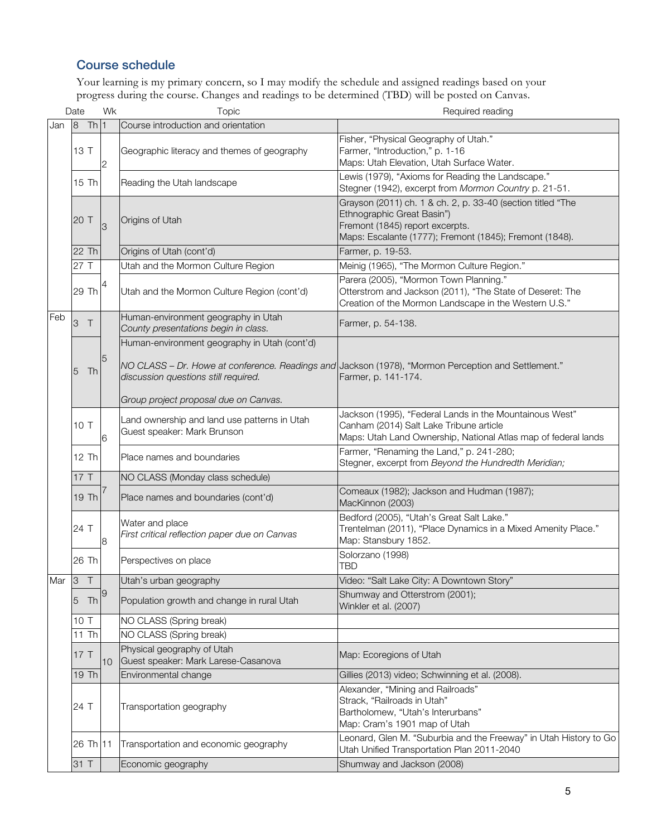# Course schedule

Your learning is my primary concern, so I may modify the schedule and assigned readings based on your progress during the course. Changes and readings to be determined (TBD) will be posted on Canvas.

|           | Date       |                     | Wk             | Topic                                                                       | Required reading                                                                                                                                                                        |
|-----------|------------|---------------------|----------------|-----------------------------------------------------------------------------|-----------------------------------------------------------------------------------------------------------------------------------------------------------------------------------------|
| Jan       | 8          | Th1                 |                | Course introduction and orientation                                         |                                                                                                                                                                                         |
|           |            | 13 T                | $\overline{c}$ | Geographic literacy and themes of geography                                 | Fisher, "Physical Geography of Utah."<br>Farmer, "Introduction," p. 1-16<br>Maps: Utah Elevation, Utah Surface Water.                                                                   |
|           |            | 15 Th               |                | Reading the Utah landscape                                                  | Lewis (1979), "Axioms for Reading the Landscape."<br>Stegner (1942), excerpt from Mormon Country p. 21-51.                                                                              |
|           | 20 T       |                     | 3              | Origins of Utah                                                             | Grayson (2011) ch. 1 & ch. 2, p. 33-40 (section titled "The<br>Ethnographic Great Basin")<br>Fremont (1845) report excerpts.<br>Maps: Escalante (1777); Fremont (1845); Fremont (1848). |
|           |            | 22 Th               |                | Origins of Utah (cont'd)                                                    | Farmer, p. 19-53.                                                                                                                                                                       |
|           |            | 27 T                |                | Utah and the Mormon Culture Region                                          | Meinig (1965), "The Mormon Culture Region."                                                                                                                                             |
|           |            | 29 Th               | 4              | Utah and the Mormon Culture Region (cont'd)                                 | Parera (2005), "Mormon Town Planning."<br>Otterstrom and Jackson (2011), "The State of Deseret: The<br>Creation of the Mormon Landscape in the Western U.S."                            |
| Feb       | $\sqrt{3}$ | $\top$              |                | Human-environment geography in Utah<br>County presentations begin in class. | Farmer, p. 54-138.                                                                                                                                                                      |
|           |            |                     |                | Human-environment geography in Utah (cont'd)                                |                                                                                                                                                                                         |
|           | 5          | Th                  | 5              | discussion questions still required.                                        | NO CLASS - Dr. Howe at conference. Readings and Jackson (1978), "Mormon Perception and Settlement."<br>Farmer, p. 141-174.                                                              |
|           |            |                     |                | Group project proposal due on Canvas.                                       |                                                                                                                                                                                         |
|           |            | 10T                 | 6              | Land ownership and land use patterns in Utah<br>Guest speaker: Mark Brunson | Jackson (1995), "Federal Lands in the Mountainous West"<br>Canham (2014) Salt Lake Tribune article<br>Maps: Utah Land Ownership, National Atlas map of federal lands                    |
|           |            | 12 Th               |                | Place names and boundaries                                                  | Farmer, "Renaming the Land," p. 241-280;<br>Stegner, excerpt from Beyond the Hundredth Meridian;                                                                                        |
|           |            | 17T                 |                | NO CLASS (Monday class schedule)                                            |                                                                                                                                                                                         |
|           |            | 19 Th               |                | Place names and boundaries (cont'd)                                         | Comeaux (1982); Jackson and Hudman (1987);<br>MacKinnon (2003)                                                                                                                          |
|           |            | 24 T                | 8              | Water and place<br>First critical reflection paper due on Canvas            | Bedford (2005), "Utah's Great Salt Lake."<br>Trentelman (2011), "Place Dynamics in a Mixed Amenity Place."<br>Map: Stansbury 1852.                                                      |
|           |            | 26 Th               |                | Perspectives on place                                                       | Solorzano (1998)<br>TBD                                                                                                                                                                 |
| Mar $ 3 $ |            |                     |                | Utah's urban geography                                                      | Video: "Salt Lake City: A Downtown Story"                                                                                                                                               |
|           | 5          | Th                  | 9              | Population growth and change in rural Utah                                  | Shumway and Otterstrom (2001);<br>Winkler et al. (2007)                                                                                                                                 |
|           |            | 10 T                |                | NO CLASS (Spring break)                                                     |                                                                                                                                                                                         |
|           |            | 11 Th               |                | NO CLASS (Spring break)                                                     |                                                                                                                                                                                         |
|           |            | 17T                 | 10             | Physical geography of Utah<br>Guest speaker: Mark Larese-Casanova           | Map: Ecoregions of Utah                                                                                                                                                                 |
|           |            | 19 Th               |                | Environmental change                                                        | Gillies (2013) video; Schwinning et al. (2008).                                                                                                                                         |
|           |            | 24 T                |                | Transportation geography                                                    | Alexander, "Mining and Railroads"<br>Strack, "Railroads in Utah"<br>Bartholomew, "Utah's Interurbans"<br>Map: Cram's 1901 map of Utah                                                   |
|           |            | 26 Th <sub>11</sub> |                | Transportation and economic geography                                       | Leonard, Glen M. "Suburbia and the Freeway" in Utah History to Go<br>Utah Unified Transportation Plan 2011-2040                                                                         |
|           |            | 31 T                |                | Economic geography                                                          | Shumway and Jackson (2008)                                                                                                                                                              |